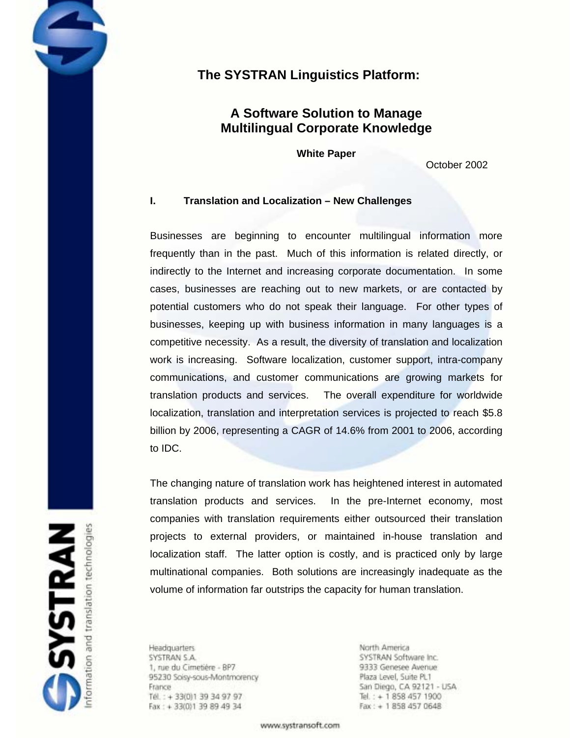# **The SYSTRAN Linguistics Platform:**

## **A Software Solution to Manage Multilingual Corporate Knowledge**

**White Paper** 

October 2002

## **I. Translation and Localization – New Challenges**

Businesses are beginning to encounter multilingual information more frequently than in the past. Much of this information is related directly, or indirectly to the Internet and increasing corporate documentation. In some cases, businesses are reaching out to new markets, or are contacted by potential customers who do not speak their language. For other types of businesses, keeping up with business information in many languages is a competitive necessity. As a result, the diversity of translation and localization work is increasing. Software localization, customer support, intra-company communications, and customer communications are growing markets for translation products and services. The overall expenditure for worldwide localization, translation and interpretation services is projected to reach \$5.8 billion by 2006, representing a CAGR of 14.6% from 2001 to 2006, according to IDC.

The changing nature of translation work has heightened interest in automated translation products and services. In the pre-Internet economy, most companies with translation requirements either outsourced their translation projects to external providers, or maintained in-house translation and localization staff. The latter option is costly, and is practiced only by large multinational companies. Both solutions are increasingly inadequate as the volume of information far outstrips the capacity for human translation.

**Headquarters** SYSTRAN S.A. 1, rue du Cimetière - BP7 95230 Soisy-sous-Montmorency France Tél.: +33(0)139349797 Fax: + 33(0)1 39 89 49 34

North America SYSTRAN Software Inc. 9333 Genesee Avenue Plaza Level, Suite PL1 San Diego, CA 92121 - USA Tel.: + 1 858 457 1900  $Fax: + 18584570648$ 

www.systransoft.com

**SYSTRAN**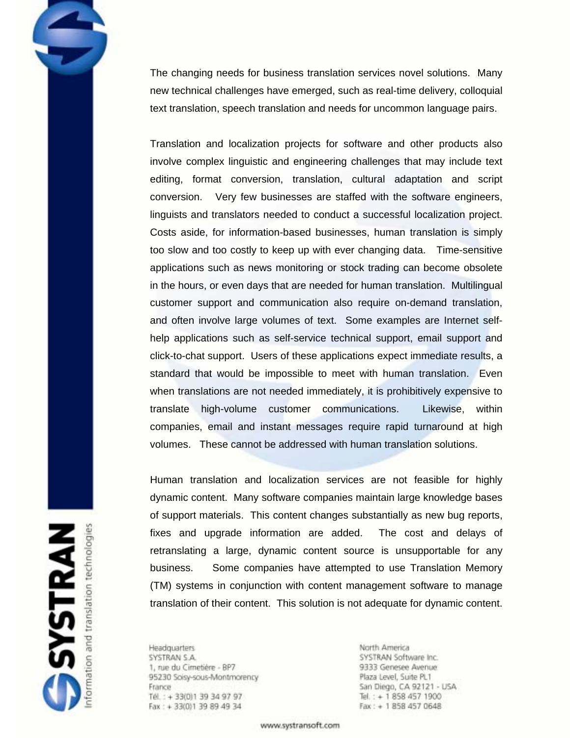The changing needs for business translation services novel solutions. Many new technical challenges have emerged, such as real-time delivery, colloquial text translation, speech translation and needs for uncommon language pairs.

Translation and localization projects for software and other products also involve complex linguistic and engineering challenges that may include text editing, format conversion, translation, cultural adaptation and script conversion. Very few businesses are staffed with the software engineers, linguists and translators needed to conduct a successful localization project. Costs aside, for information-based businesses, human translation is simply too slow and too costly to keep up with ever changing data. Time-sensitive applications such as news monitoring or stock trading can become obsolete in the hours, or even days that are needed for human translation. Multilingual customer support and communication also require on-demand translation, and often involve large volumes of text. Some examples are Internet selfhelp applications such as self-service technical support, email support and click-to-chat support. Users of these applications expect immediate results, a standard that would be impossible to meet with human translation. Even when translations are not needed immediately, it is prohibitively expensive to translate high-volume customer communications. Likewise, within companies, email and instant messages require rapid turnaround at high volumes. These cannot be addressed with human translation solutions.

Human translation and localization services are not feasible for highly dynamic content. Many software companies maintain large knowledge bases of support materials. This content changes substantially as new bug reports, fixes and upgrade information are added. The cost and delays of retranslating a large, dynamic content source is unsupportable for any business. Some companies have attempted to use Translation Memory (TM) systems in conjunction with content management software to manage translation of their content. This solution is not adequate for dynamic content.

**Headquarters** SYSTRAN S.A. 1, rue du Cimetière - BP7 95230 Soisy-sous-Montmorency France Tél.: +33(0)139349797 Fax: + 33(0)1 39 89 49 34

North America SYSTRAN Software Inc. 9333 Genesee Avenue Plaza Level, Suite PL1 San Diego, CA 92121 - USA Tel.: + 1 858 457 1900  $Fax: + 18584570648$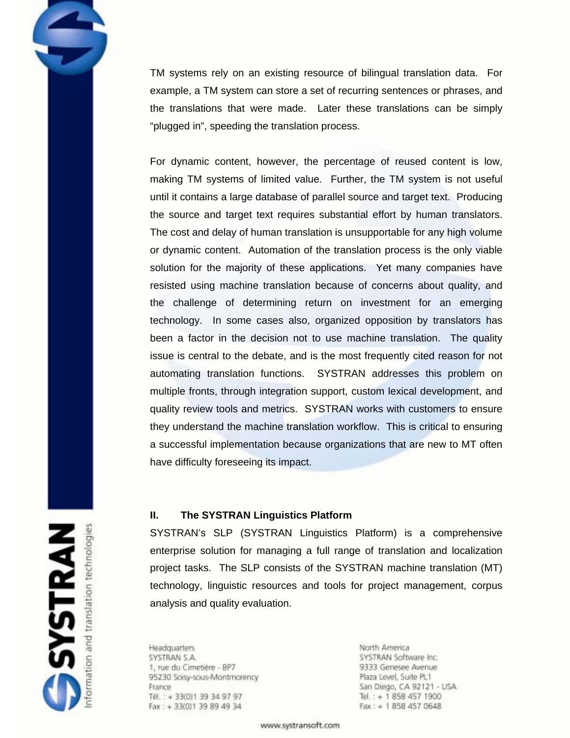TM systems rely on an existing resource of bilingual translation data. For example, a TM system can store a set of recurring sentences or phrases, and the translations that were made. Later these translations can be simply "plugged in", speeding the translation process.

For dynamic content, however, the percentage of reused content is low, making TM systems of limited value. Further, the TM system is not useful until it contains a large database of parallel source and target text. Producing the source and target text requires substantial effort by human translators. The cost and delay of human translation is unsupportable for any high volume or dynamic content. Automation of the translation process is the only viable solution for the majority of these applications. Yet many companies have resisted using machine translation because of concerns about quality, and the challenge of determining return on investment for an emerging technology. In some cases also, organized opposition by translators has been a factor in the decision not to use machine translation. The quality issue is central to the debate, and is the most frequently cited reason for not automating translation functions. SYSTRAN addresses this problem on multiple fronts, through integration support, custom lexical development, and quality review tools and metrics. SYSTRAN works with customers to ensure they understand the machine translation workflow. This is critical to ensuring a successful implementation because organizations that are new to MT often have difficulty foreseeing its impact.

## **II. The SYSTRAN Linguistics Platform**

SYSTRAN's SLP (SYSTRAN Linguistics Platform) is a comprehensive enterprise solution for managing a full range of translation and localization project tasks. The SLP consists of the SYSTRAN machine translation (MT) technology, linguistic resources and tools for project management, corpus analysis and quality evaluation.

**Headquarters** SYSTRAN S.A. 1, rue du Cimetière - BP7 95230 Soisy-sous-Montmorency France Tél.: +33(0)139349797 Fax: + 33(0)1 39 89 49 34

North America SYSTRAN Software Inc. 9333 Genesee Avenue Plaza Level, Suite PL1 San Diego, CA 92121 - USA Tel.: + 1 858 457 1900  $Fax: + 18584570648$ 

www.systransoft.com

**SYSTRAN** translation technologies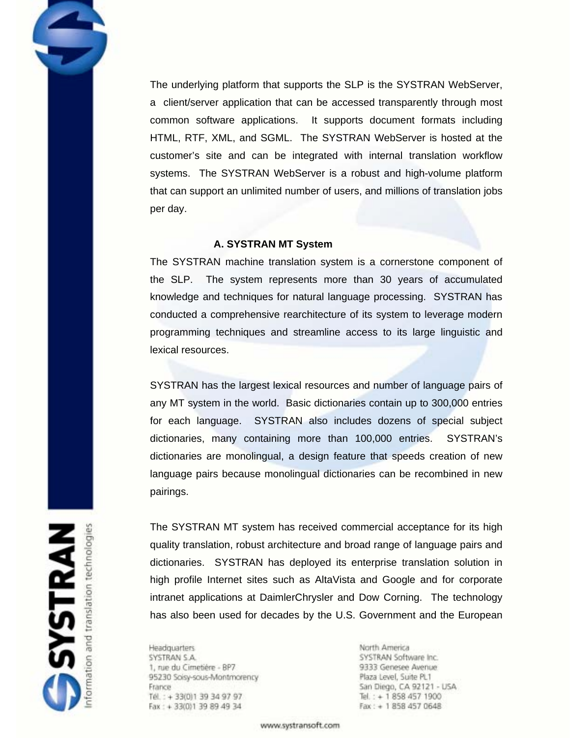The underlying platform that supports the SLP is the SYSTRAN WebServer, a client/server application that can be accessed transparently through most common software applications. It supports document formats including HTML, RTF, XML, and SGML. The SYSTRAN WebServer is hosted at the customer's site and can be integrated with internal translation workflow systems. The SYSTRAN WebServer is a robust and high-volume platform that can support an unlimited number of users, and millions of translation jobs per day.

## **A. SYSTRAN MT System**

The SYSTRAN machine translation system is a cornerstone component of the SLP. The system represents more than 30 years of accumulated knowledge and techniques for natural language processing. SYSTRAN has conducted a comprehensive rearchitecture of its system to leverage modern programming techniques and streamline access to its large linguistic and lexical resources.

SYSTRAN has the largest lexical resources and number of language pairs of any MT system in the world. Basic dictionaries contain up to 300,000 entries for each language. SYSTRAN also includes dozens of special subject dictionaries, many containing more than 100,000 entries. SYSTRAN's dictionaries are monolingual, a design feature that speeds creation of new language pairs because monolingual dictionaries can be recombined in new pairings.

The SYSTRAN MT system has received commercial acceptance for its high quality translation, robust architecture and broad range of language pairs and dictionaries. SYSTRAN has deployed its enterprise translation solution in high profile Internet sites such as AltaVista and Google and for corporate intranet applications at DaimlerChrysler and Dow Corning. The technology has also been used for decades by the U.S. Government and the European

**Headquarters** SYSTRAN S.A. 1, rue du Cimetière - BP7 95230 Soisy-sous-Montmorency France Tél.: +33(0)139349797 Fax: + 33(0)1 39 89 49 34

North America SYSTRAN Software Inc. 9333 Genesee Avenue Plaza Level, Suite PL1 San Diego, CA 92121 - USA Tel.: + 1 858 457 1900  $Fax: + 18584570648$ 

www.systransoft.com

**SYSTRAN**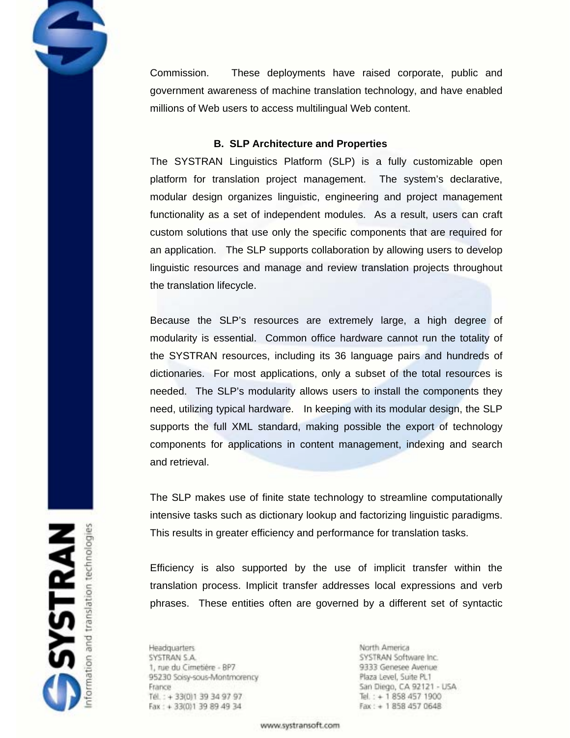Commission. These deployments have raised corporate, public and government awareness of machine translation technology, and have enabled millions of Web users to access multilingual Web content.

## **B. SLP Architecture and Properties**

The SYSTRAN Linguistics Platform (SLP) is a fully customizable open platform for translation project management. The system's declarative, modular design organizes linguistic, engineering and project management functionality as a set of independent modules. As a result, users can craft custom solutions that use only the specific components that are required for an application. The SLP supports collaboration by allowing users to develop linguistic resources and manage and review translation projects throughout the translation lifecycle.

Because the SLP's resources are extremely large, a high degree of modularity is essential. Common office hardware cannot run the totality of the SYSTRAN resources, including its 36 language pairs and hundreds of dictionaries. For most applications, only a subset of the total resources is needed. The SLP's modularity allows users to install the components they need, utilizing typical hardware. In keeping with its modular design, the SLP supports the full XML standard, making possible the export of technology components for applications in content management, indexing and search and retrieval.

The SLP makes use of finite state technology to streamline computationally intensive tasks such as dictionary lookup and factorizing linguistic paradigms. This results in greater efficiency and performance for translation tasks.

Efficiency is also supported by the use of implicit transfer within the translation process. Implicit transfer addresses local expressions and verb phrases. These entities often are governed by a different set of syntactic

**Headquarters** SYSTRAN S.A. 1, rue du Cimetière - BP7 95230 Soisy-sous-Montmorency France Tél.: +33(0)139349797 Fax: + 33(0)1 39 89 49 34

North America SYSTRAN Software Inc. 9333 Genesee Avenue Plaza Level, Suite PL1 San Diego, CA 92121 - USA Tel.: + 1 858 457 1900  $Fax: + 18584570648$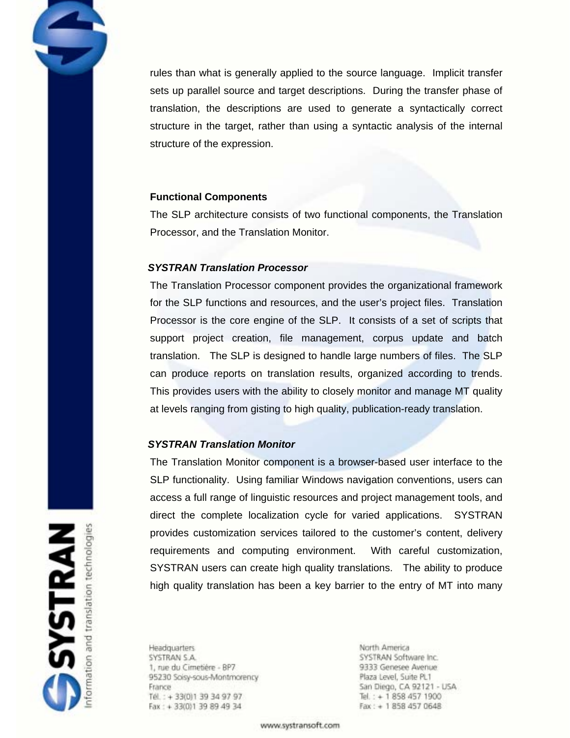rules than what is generally applied to the source language. Implicit transfer sets up parallel source and target descriptions. During the transfer phase of translation, the descriptions are used to generate a syntactically correct structure in the target, rather than using a syntactic analysis of the internal structure of the expression.

## **Functional Components**

The SLP architecture consists of two functional components, the Translation Processor, and the Translation Monitor.

## *SYSTRAN Translation Processor*

The Translation Processor component provides the organizational framework for the SLP functions and resources, and the user's project files. Translation Processor is the core engine of the SLP. It consists of a set of scripts that support project creation, file management, corpus update and batch translation. The SLP is designed to handle large numbers of files. The SLP can produce reports on translation results, organized according to trends. This provides users with the ability to closely monitor and manage MT quality at levels ranging from gisting to high quality, publication-ready translation.

## *SYSTRAN Translation Monitor*

The Translation Monitor component is a browser-based user interface to the SLP functionality. Using familiar Windows navigation conventions, users can access a full range of linguistic resources and project management tools, and direct the complete localization cycle for varied applications. SYSTRAN provides customization services tailored to the customer's content, delivery requirements and computing environment. With careful customization, SYSTRAN users can create high quality translations. The ability to produce high quality translation has been a key barrier to the entry of MT into many

**SYSTRAN** 

**Headquarters** SYSTRAN S.A. 1, rue du Cimetière - BP7 95230 Soisy-sous-Montmorency France Tél.: +33(0)139349797 Fax: + 33(0)1 39 89 49 34

North America SYSTRAN Software Inc. 9333 Genesee Avenue Plaza Level, Suite PL1 San Diego, CA 92121 - USA Tel.: + 1 858 457 1900  $Fax: + 18584570648$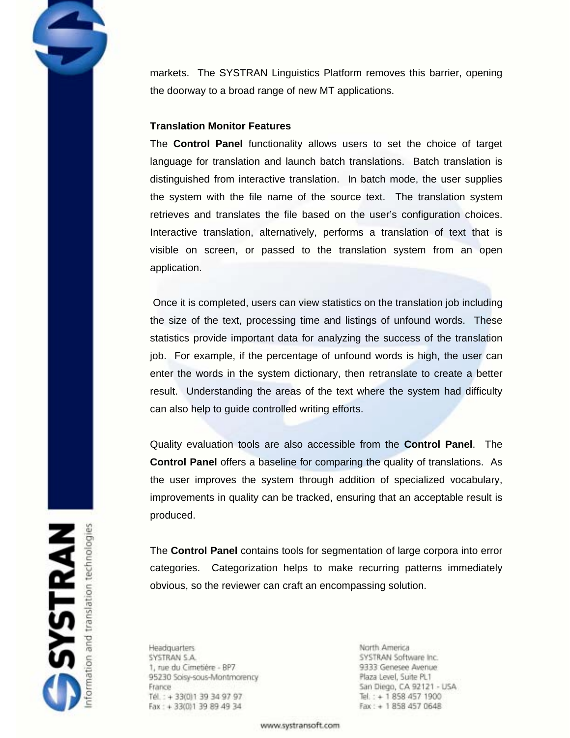markets. The SYSTRAN Linguistics Platform removes this barrier, opening the doorway to a broad range of new MT applications.

## **Translation Monitor Features**

The **Control Panel** functionality allows users to set the choice of target language for translation and launch batch translations. Batch translation is distinguished from interactive translation. In batch mode, the user supplies the system with the file name of the source text. The translation system retrieves and translates the file based on the user's configuration choices. Interactive translation, alternatively, performs a translation of text that is visible on screen, or passed to the translation system from an open application.

 Once it is completed, users can view statistics on the translation job including the size of the text, processing time and listings of unfound words. These statistics provide important data for analyzing the success of the translation job. For example, if the percentage of unfound words is high, the user can enter the words in the system dictionary, then retranslate to create a better result. Understanding the areas of the text where the system had difficulty can also help to guide controlled writing efforts.

Quality evaluation tools are also accessible from the **Control Panel**. The **Control Panel** offers a baseline for comparing the quality of translations. As the user improves the system through addition of specialized vocabulary, improvements in quality can be tracked, ensuring that an acceptable result is produced.

The **Control Panel** contains tools for segmentation of large corpora into error categories. Categorization helps to make recurring patterns immediately obvious, so the reviewer can craft an encompassing solution.

**Headquarters** SYSTRAN S.A. 1, rue du Cimetière - BP7 95230 Soisy-sous-Montmorency France Tél.: +33(0)139349797 Fax: + 33(0)1 39 89 49 34

North America SYSTRAN Software Inc. 9333 Genesee Avenue Plaza Level, Suite PL1 San Diego, CA 92121 - USA Tel.: + 1 858 457 1900  $Fax: + 18584570648$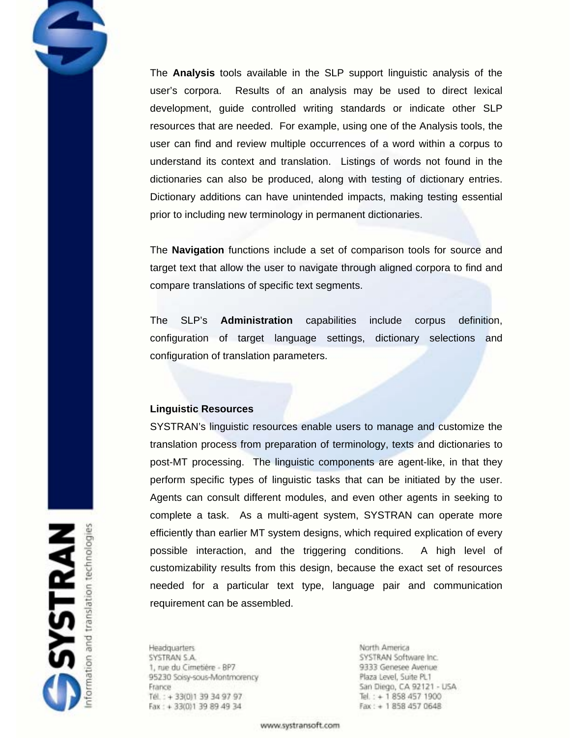The **Analysis** tools available in the SLP support linguistic analysis of the user's corpora. Results of an analysis may be used to direct lexical development, guide controlled writing standards or indicate other SLP resources that are needed. For example, using one of the Analysis tools, the user can find and review multiple occurrences of a word within a corpus to understand its context and translation. Listings of words not found in the dictionaries can also be produced, along with testing of dictionary entries. Dictionary additions can have unintended impacts, making testing essential prior to including new terminology in permanent dictionaries.

The **Navigation** functions include a set of comparison tools for source and target text that allow the user to navigate through aligned corpora to find and compare translations of specific text segments.

The SLP's **Administration** capabilities include corpus definition, configuration of target language settings, dictionary selections and configuration of translation parameters.

#### **Linguistic Resources**

SYSTRAN's linguistic resources enable users to manage and customize the translation process from preparation of terminology, texts and dictionaries to post-MT processing. The linguistic components are agent-like, in that they perform specific types of linguistic tasks that can be initiated by the user. Agents can consult different modules, and even other agents in seeking to complete a task. As a multi-agent system, SYSTRAN can operate more efficiently than earlier MT system designs, which required explication of every possible interaction, and the triggering conditions. A high level of customizability results from this design, because the exact set of resources needed for a particular text type, language pair and communication requirement can be assembled.

**Headquarters** SYSTRAN S.A. 1, rue du Cimetière - BP7 95230 Soisy-sous-Montmorency France Tél.: +33(0)139349797 Fax: + 33(0)1 39 89 49 34

North America SYSTRAN Software Inc. 9333 Genesee Avenue Plaza Level, Suite PL1 San Diego, CA 92121 - USA Tel.: + 1 858 457 1900  $Fax: + 18584570648$ 

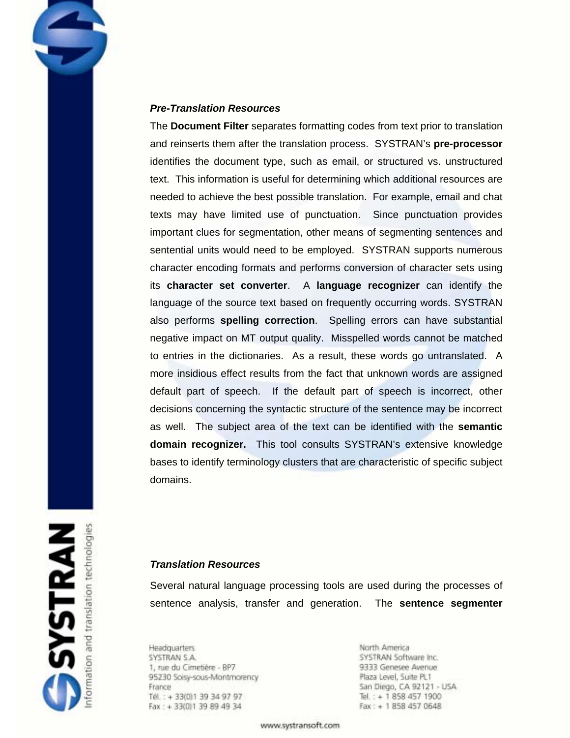## *Pre-Translation Resources*

The **Document Filter** separates formatting codes from text prior to translation and reinserts them after the translation process. SYSTRAN's **pre-processor** identifies the document type, such as email, or structured vs. unstructured text. This information is useful for determining which additional resources are needed to achieve the best possible translation. For example, email and chat texts may have limited use of punctuation. Since punctuation provides important clues for segmentation, other means of segmenting sentences and sentential units would need to be employed. SYSTRAN supports numerous character encoding formats and performs conversion of character sets using its **character set converter**. A **language recognizer** can identify the language of the source text based on frequently occurring words. SYSTRAN also performs **spelling correction**. Spelling errors can have substantial negative impact on MT output quality. Misspelled words cannot be matched to entries in the dictionaries. As a result, these words go untranslated. A more insidious effect results from the fact that unknown words are assigned default part of speech. If the default part of speech is incorrect, other decisions concerning the syntactic structure of the sentence may be incorrect as well. The subject area of the text can be identified with the **semantic domain recognizer.** This tool consults SYSTRAN's extensive knowledge bases to identify terminology clusters that are characteristic of specific subject domains.

# *Translation Resources*

Several natural language processing tools are used during the processes of sentence analysis, transfer and generation. The **sentence segmenter**

**Headquarters** SYSTRAN S.A. 1, rue du Cimetière - BP7 95230 Soisy-sous-Montmorency France Tél.: +33(0)139349797 Fax: + 33(0)1 39 89 49 34

North America SYSTRAN Software Inc. 9333 Genesee Avenue Plaza Level, Suite PL1 San Diego, CA 92121 - USA Tel.: + 1 858 457 1900  $Fax: + 18584570648$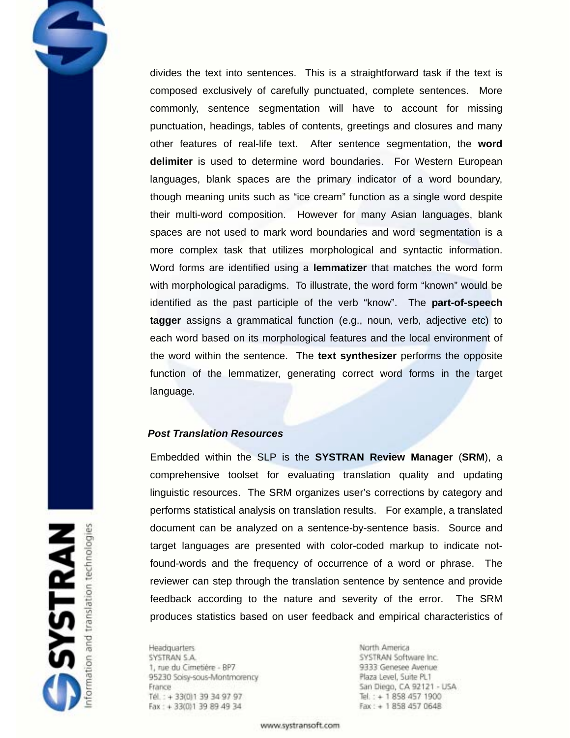divides the text into sentences. This is a straightforward task if the text is composed exclusively of carefully punctuated, complete sentences. More commonly, sentence segmentation will have to account for missing punctuation, headings, tables of contents, greetings and closures and many other features of real-life text. After sentence segmentation, the **word delimiter** is used to determine word boundaries. For Western European languages, blank spaces are the primary indicator of a word boundary, though meaning units such as "ice cream" function as a single word despite their multi-word composition. However for many Asian languages, blank spaces are not used to mark word boundaries and word segmentation is a more complex task that utilizes morphological and syntactic information. Word forms are identified using a **lemmatizer** that matches the word form with morphological paradigms. To illustrate, the word form "known" would be identified as the past participle of the verb "know". The **part-of-speech tagger** assigns a grammatical function (e.g., noun, verb, adjective etc) to each word based on its morphological features and the local environment of the word within the sentence. The **text synthesizer** performs the opposite function of the lemmatizer, generating correct word forms in the target language.

## *Post Translation Resources*

Embedded within the SLP is the **SYSTRAN Review Manager** (**SRM**), a comprehensive toolset for evaluating translation quality and updating linguistic resources. The SRM organizes user's corrections by category and performs statistical analysis on translation results. For example, a translated document can be analyzed on a sentence-by-sentence basis. Source and target languages are presented with color-coded markup to indicate notfound-words and the frequency of occurrence of a word or phrase. The reviewer can step through the translation sentence by sentence and provide feedback according to the nature and severity of the error. The SRM produces statistics based on user feedback and empirical characteristics of

**Headquarters** SYSTRAN S.A. 1, rue du Cimetière - BP7 95230 Soisy-sous-Montmorency France Tél.: +33(0)139349797 Fax: + 33(0)1 39 89 49 34

North America SYSTRAN Software Inc. 9333 Genesee Avenue Plaza Level, Suite PL1 San Diego, CA 92121 - USA Tel.: + 1 858 457 1900  $Fax: + 18584570648$ 

**SYSTRAN** translation technologies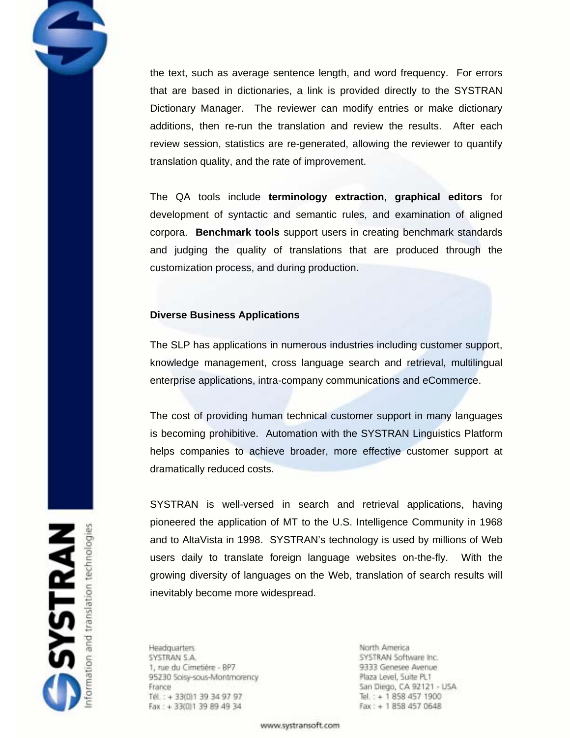the text, such as average sentence length, and word frequency. For errors that are based in dictionaries, a link is provided directly to the SYSTRAN Dictionary Manager. The reviewer can modify entries or make dictionary additions, then re-run the translation and review the results. After each review session, statistics are re-generated, allowing the reviewer to quantify translation quality, and the rate of improvement.

The QA tools include **terminology extraction**, **graphical editors** for development of syntactic and semantic rules, and examination of aligned corpora. **Benchmark tools** support users in creating benchmark standards and judging the quality of translations that are produced through the customization process, and during production.

## **Diverse Business Applications**

The SLP has applications in numerous industries including customer support, knowledge management, cross language search and retrieval, multilingual enterprise applications, intra-company communications and eCommerce.

The cost of providing human technical customer support in many languages is becoming prohibitive. Automation with the SYSTRAN Linguistics Platform helps companies to achieve broader, more effective customer support at dramatically reduced costs.

SYSTRAN is well-versed in search and retrieval applications, having pioneered the application of MT to the U.S. Intelligence Community in 1968 and to AltaVista in 1998. SYSTRAN's technology is used by millions of Web users daily to translate foreign language websites on-the-fly. With the growing diversity of languages on the Web, translation of search results will inevitably become more widespread.

**Headquarters** SYSTRAN S.A. 1, rue du Cimetière - BP7 95230 Soisy-sous-Montmorency France Tél.: +33(0)139349797 Fax: + 33(0)1 39 89 49 34

North America SYSTRAN Software Inc. 9333 Genesee Avenue Plaza Level, Suite PL1 San Diego, CA 92121 - USA Tel.: + 1 858 457 1900  $Fax: + 18584570648$ 

www.systransoft.com

**SYSTRAN**